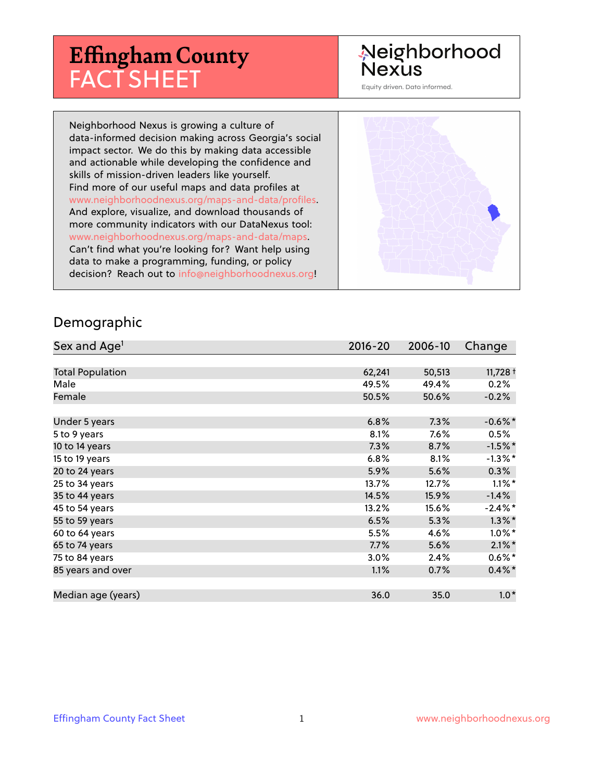# **Effingham County** FACT SHEET

# Neighborhood **Nexus**

Equity driven. Data informed.

Neighborhood Nexus is growing a culture of data-informed decision making across Georgia's social impact sector. We do this by making data accessible and actionable while developing the confidence and skills of mission-driven leaders like yourself. Find more of our useful maps and data profiles at www.neighborhoodnexus.org/maps-and-data/profiles. And explore, visualize, and download thousands of more community indicators with our DataNexus tool: www.neighborhoodnexus.org/maps-and-data/maps. Can't find what you're looking for? Want help using data to make a programming, funding, or policy decision? Reach out to [info@neighborhoodnexus.org!](mailto:info@neighborhoodnexus.org)



#### Demographic

| Sex and Age <sup>1</sup> | $2016 - 20$ | 2006-10 | Change                |
|--------------------------|-------------|---------|-----------------------|
|                          |             |         |                       |
| <b>Total Population</b>  | 62,241      | 50,513  | $11,728$ <sup>+</sup> |
| Male                     | 49.5%       | 49.4%   | 0.2%                  |
| Female                   | 50.5%       | 50.6%   | $-0.2%$               |
|                          |             |         |                       |
| Under 5 years            | 6.8%        | 7.3%    | $-0.6\%$ *            |
| 5 to 9 years             | 8.1%        | $7.6\%$ | 0.5%                  |
| 10 to 14 years           | 7.3%        | 8.7%    | $-1.5%$ *             |
| 15 to 19 years           | 6.8%        | 8.1%    | $-1.3\%$ *            |
| 20 to 24 years           | 5.9%        | 5.6%    | 0.3%                  |
| 25 to 34 years           | 13.7%       | 12.7%   | $1.1\%$ *             |
| 35 to 44 years           | 14.5%       | 15.9%   | $-1.4%$               |
| 45 to 54 years           | 13.2%       | 15.6%   | $-2.4\%$ *            |
| 55 to 59 years           | 6.5%        | 5.3%    | $1.3\%$ *             |
| 60 to 64 years           | 5.5%        | 4.6%    | $1.0\%$ *             |
| 65 to 74 years           | 7.7%        | 5.6%    | $2.1\%$ *             |
| 75 to 84 years           | 3.0%        | 2.4%    | $0.6\%*$              |
| 85 years and over        | 1.1%        | 0.7%    | $0.4\% *$             |
|                          |             |         |                       |
| Median age (years)       | 36.0        | 35.0    | $1.0*$                |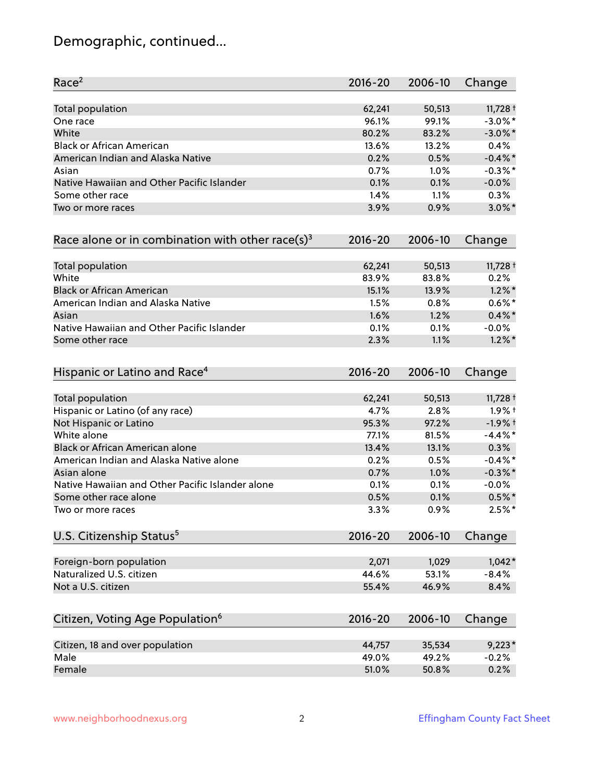# Demographic, continued...

| Race <sup>2</sup>                                   | $2016 - 20$ | 2006-10 | Change     |
|-----------------------------------------------------|-------------|---------|------------|
| <b>Total population</b>                             | 62,241      | 50,513  | $11,728 +$ |
| One race                                            | 96.1%       | 99.1%   | $-3.0\%$ * |
| White                                               | 80.2%       | 83.2%   | $-3.0\%$ * |
| <b>Black or African American</b>                    | 13.6%       | 13.2%   | 0.4%       |
| American Indian and Alaska Native                   | 0.2%        | 0.5%    | $-0.4\%$ * |
| Asian                                               | 0.7%        | 1.0%    | $-0.3\%$ * |
| Native Hawaiian and Other Pacific Islander          | 0.1%        | 0.1%    | $-0.0%$    |
| Some other race                                     | 1.4%        | 1.1%    | 0.3%       |
| Two or more races                                   | 3.9%        | 0.9%    | $3.0\%$ *  |
| Race alone or in combination with other race(s) $3$ | $2016 - 20$ | 2006-10 | Change     |
| Total population                                    | 62,241      | 50,513  | $11,728 +$ |
| White                                               | 83.9%       | 83.8%   | 0.2%       |
| <b>Black or African American</b>                    | 15.1%       | 13.9%   | $1.2\%$ *  |
| American Indian and Alaska Native                   | 1.5%        | 0.8%    | $0.6\%$ *  |
| Asian                                               | 1.6%        | 1.2%    | $0.4\%$ *  |
| Native Hawaiian and Other Pacific Islander          | 0.1%        | 0.1%    | $-0.0%$    |
| Some other race                                     | 2.3%        | 1.1%    | $1.2\%$ *  |
| Hispanic or Latino and Race <sup>4</sup>            | $2016 - 20$ | 2006-10 | Change     |
| <b>Total population</b>                             | 62,241      | 50,513  | $11,728 +$ |
| Hispanic or Latino (of any race)                    | 4.7%        | 2.8%    | $1.9%$ †   |
| Not Hispanic or Latino                              | 95.3%       | 97.2%   | $-1.9%$ †  |
| White alone                                         | 77.1%       | 81.5%   | $-4.4\%$ * |
| Black or African American alone                     | 13.4%       | 13.1%   | 0.3%       |
| American Indian and Alaska Native alone             | 0.2%        | 0.5%    | $-0.4\%$ * |
| Asian alone                                         | 0.7%        | 1.0%    | $-0.3\%$ * |
| Native Hawaiian and Other Pacific Islander alone    | 0.1%        | 0.1%    | $-0.0%$    |
| Some other race alone                               | 0.5%        | 0.1%    | $0.5\% *$  |
| Two or more races                                   | 3.3%        | 0.9%    | $2.5%$ *   |
| U.S. Citizenship Status <sup>5</sup>                | $2016 - 20$ | 2006-10 | Change     |
| Foreign-born population                             | 2,071       | 1,029   | $1,042*$   |
| Naturalized U.S. citizen                            | 44.6%       | 53.1%   | $-8.4%$    |
| Not a U.S. citizen                                  | 55.4%       | 46.9%   | 8.4%       |
|                                                     |             |         |            |
| Citizen, Voting Age Population <sup>6</sup>         | $2016 - 20$ | 2006-10 | Change     |
| Citizen, 18 and over population                     | 44,757      | 35,534  | $9,223*$   |
| Male                                                | 49.0%       | 49.2%   | $-0.2%$    |
| Female                                              | 51.0%       | 50.8%   | 0.2%       |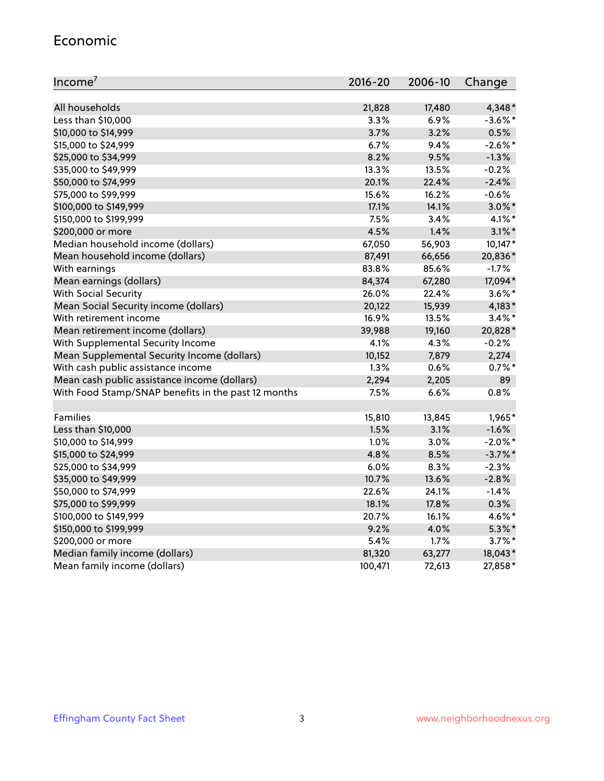#### Economic

| Income <sup>7</sup>                                 | $2016 - 20$ | 2006-10 | Change     |
|-----------------------------------------------------|-------------|---------|------------|
|                                                     |             |         |            |
| All households                                      | 21,828      | 17,480  | 4,348*     |
| Less than \$10,000                                  | 3.3%        | 6.9%    | $-3.6\%$ * |
| \$10,000 to \$14,999                                | 3.7%        | 3.2%    | 0.5%       |
| \$15,000 to \$24,999                                | 6.7%        | 9.4%    | $-2.6\%$ * |
| \$25,000 to \$34,999                                | 8.2%        | 9.5%    | $-1.3%$    |
| \$35,000 to \$49,999                                | 13.3%       | 13.5%   | $-0.2%$    |
| \$50,000 to \$74,999                                | 20.1%       | 22.4%   | $-2.4%$    |
| \$75,000 to \$99,999                                | 15.6%       | 16.2%   | $-0.6%$    |
| \$100,000 to \$149,999                              | 17.1%       | 14.1%   | $3.0\%$ *  |
| \$150,000 to \$199,999                              | 7.5%        | 3.4%    | $4.1\%$ *  |
| \$200,000 or more                                   | 4.5%        | 1.4%    | $3.1\%$ *  |
| Median household income (dollars)                   | 67,050      | 56,903  | 10,147*    |
| Mean household income (dollars)                     | 87,491      | 66,656  | 20,836*    |
| With earnings                                       | 83.8%       | 85.6%   | $-1.7%$    |
| Mean earnings (dollars)                             | 84,374      | 67,280  | 17,094*    |
| <b>With Social Security</b>                         | 26.0%       | 22.4%   | $3.6\%$ *  |
| Mean Social Security income (dollars)               | 20,122      | 15,939  | $4,183*$   |
| With retirement income                              | 16.9%       | 13.5%   | $3.4\%$ *  |
| Mean retirement income (dollars)                    | 39,988      | 19,160  | 20,828*    |
| With Supplemental Security Income                   | 4.1%        | 4.3%    | $-0.2%$    |
| Mean Supplemental Security Income (dollars)         | 10,152      | 7,879   | 2,274      |
| With cash public assistance income                  | 1.3%        | 0.6%    | $0.7%$ *   |
| Mean cash public assistance income (dollars)        | 2,294       | 2,205   | 89         |
| With Food Stamp/SNAP benefits in the past 12 months | 7.5%        | 6.6%    | 0.8%       |
|                                                     |             |         |            |
| Families                                            | 15,810      | 13,845  | 1,965*     |
| Less than \$10,000                                  | 1.5%        | 3.1%    | $-1.6%$    |
| \$10,000 to \$14,999                                | 1.0%        | 3.0%    | $-2.0\%$ * |
| \$15,000 to \$24,999                                | 4.8%        | 8.5%    | $-3.7%$ *  |
| \$25,000 to \$34,999                                | 6.0%        | 8.3%    | $-2.3%$    |
| \$35,000 to \$49,999                                | 10.7%       | 13.6%   | $-2.8%$    |
| \$50,000 to \$74,999                                | 22.6%       | 24.1%   | $-1.4%$    |
| \$75,000 to \$99,999                                | 18.1%       | 17.8%   | 0.3%       |
| \$100,000 to \$149,999                              | 20.7%       | 16.1%   | 4.6%*      |
| \$150,000 to \$199,999                              | 9.2%        | 4.0%    | $5.3\%$ *  |
| \$200,000 or more                                   | 5.4%        | 1.7%    | $3.7\%$ *  |
| Median family income (dollars)                      | 81,320      | 63,277  | 18,043*    |
| Mean family income (dollars)                        | 100,471     | 72,613  | 27,858*    |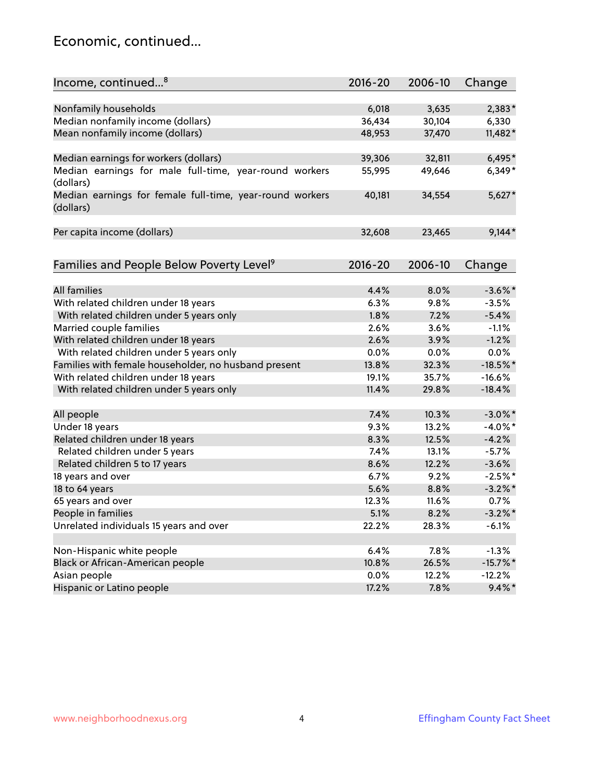#### Economic, continued...

| Income, continued <sup>8</sup>                                        | $2016 - 20$ | 2006-10 | Change      |
|-----------------------------------------------------------------------|-------------|---------|-------------|
|                                                                       |             |         |             |
| Nonfamily households                                                  | 6,018       | 3,635   | 2,383*      |
| Median nonfamily income (dollars)                                     | 36,434      | 30,104  | 6,330       |
| Mean nonfamily income (dollars)                                       | 48,953      | 37,470  | 11,482*     |
| Median earnings for workers (dollars)                                 | 39,306      | 32,811  | $6,495*$    |
| Median earnings for male full-time, year-round workers                | 55,995      | 49,646  | $6,349*$    |
| (dollars)                                                             |             |         |             |
| Median earnings for female full-time, year-round workers<br>(dollars) | 40,181      | 34,554  | $5,627*$    |
| Per capita income (dollars)                                           | 32,608      | 23,465  | $9,144*$    |
|                                                                       |             |         |             |
| Families and People Below Poverty Level <sup>9</sup>                  | $2016 - 20$ | 2006-10 | Change      |
|                                                                       |             |         |             |
| <b>All families</b>                                                   | 4.4%        | 8.0%    | $-3.6\%$ *  |
| With related children under 18 years                                  | 6.3%        | 9.8%    | $-3.5%$     |
| With related children under 5 years only                              | 1.8%        | 7.2%    | $-5.4%$     |
| Married couple families                                               | 2.6%        | 3.6%    | $-1.1%$     |
| With related children under 18 years                                  | 2.6%        | 3.9%    | $-1.2%$     |
| With related children under 5 years only                              | 0.0%        | 0.0%    | 0.0%        |
| Families with female householder, no husband present                  | 13.8%       | 32.3%   | $-18.5%$ *  |
| With related children under 18 years                                  | 19.1%       | 35.7%   | $-16.6%$    |
| With related children under 5 years only                              | 11.4%       | 29.8%   | $-18.4%$    |
| All people                                                            | 7.4%        | 10.3%   | $-3.0\%$ *  |
| Under 18 years                                                        | 9.3%        | 13.2%   | $-4.0\%$ *  |
| Related children under 18 years                                       | 8.3%        | 12.5%   | $-4.2%$     |
| Related children under 5 years                                        | 7.4%        | 13.1%   | $-5.7%$     |
| Related children 5 to 17 years                                        | 8.6%        | 12.2%   | $-3.6%$     |
| 18 years and over                                                     | 6.7%        | 9.2%    | $-2.5%$ *   |
| 18 to 64 years                                                        | 5.6%        | 8.8%    | $-3.2\%$ *  |
| 65 years and over                                                     | 12.3%       | 11.6%   | 0.7%        |
| People in families                                                    | 5.1%        | 8.2%    | $-3.2\%$ *  |
| Unrelated individuals 15 years and over                               | 22.2%       | 28.3%   | $-6.1%$     |
|                                                                       |             |         |             |
| Non-Hispanic white people                                             | 6.4%        | 7.8%    | $-1.3%$     |
| Black or African-American people                                      | 10.8%       | 26.5%   | $-15.7\%$ * |
| Asian people                                                          | 0.0%        | 12.2%   | $-12.2%$    |
| Hispanic or Latino people                                             | 17.2%       | 7.8%    | $9.4\%$ *   |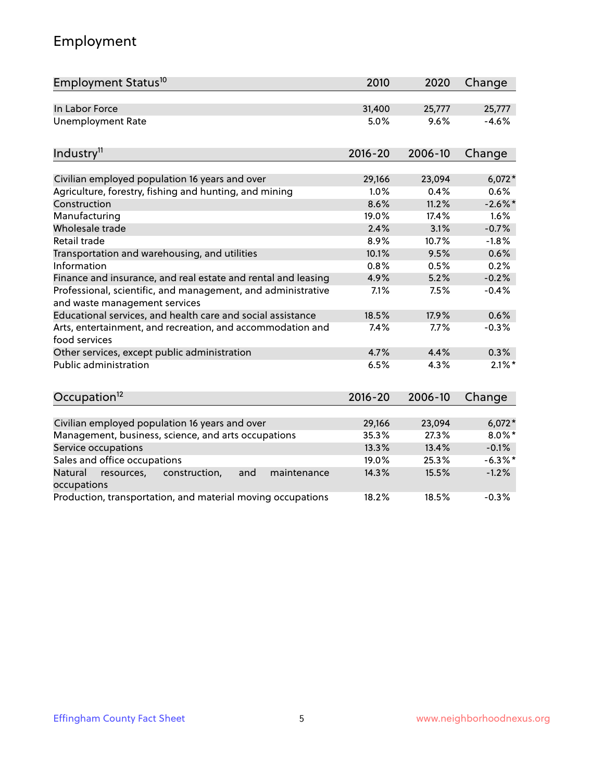# Employment

| Employment Status <sup>10</sup>                                                               | 2010        | 2020    | Change     |
|-----------------------------------------------------------------------------------------------|-------------|---------|------------|
| In Labor Force                                                                                | 31,400      | 25,777  | 25,777     |
| <b>Unemployment Rate</b>                                                                      | 5.0%        | 9.6%    | $-4.6%$    |
| Industry <sup>11</sup>                                                                        | $2016 - 20$ | 2006-10 | Change     |
| Civilian employed population 16 years and over                                                | 29,166      | 23,094  | $6,072*$   |
| Agriculture, forestry, fishing and hunting, and mining                                        | 1.0%        | 0.4%    | 0.6%       |
| Construction                                                                                  | 8.6%        | 11.2%   | $-2.6\%$ * |
| Manufacturing                                                                                 | 19.0%       | 17.4%   | 1.6%       |
| Wholesale trade                                                                               | 2.4%        | 3.1%    | $-0.7%$    |
| Retail trade                                                                                  | 8.9%        | 10.7%   | $-1.8%$    |
| Transportation and warehousing, and utilities                                                 | 10.1%       | 9.5%    | 0.6%       |
| Information                                                                                   | 0.8%        | 0.5%    | 0.2%       |
| Finance and insurance, and real estate and rental and leasing                                 | 4.9%        | 5.2%    | $-0.2%$    |
| Professional, scientific, and management, and administrative<br>and waste management services | 7.1%        | 7.5%    | $-0.4%$    |
| Educational services, and health care and social assistance                                   | 18.5%       | 17.9%   | 0.6%       |
| Arts, entertainment, and recreation, and accommodation and<br>food services                   | 7.4%        | 7.7%    | $-0.3%$    |
| Other services, except public administration                                                  | 4.7%        | 4.4%    | 0.3%       |
| <b>Public administration</b>                                                                  | 6.5%        | 4.3%    | $2.1\%$ *  |
| Occupation <sup>12</sup>                                                                      | $2016 - 20$ | 2006-10 | Change     |
|                                                                                               |             |         |            |
| Civilian employed population 16 years and over                                                | 29,166      | 23,094  | $6,072*$   |
| Management, business, science, and arts occupations                                           | 35.3%       | 27.3%   | $8.0\%$ *  |
| Service occupations                                                                           | 13.3%       | 13.4%   | $-0.1%$    |
| Sales and office occupations                                                                  | 19.0%       | 25.3%   | $-6.3\%$ * |
| Natural<br>resources,<br>construction,<br>and<br>maintenance<br>occupations                   | 14.3%       | 15.5%   | $-1.2%$    |
| Production, transportation, and material moving occupations                                   | 18.2%       | 18.5%   | $-0.3%$    |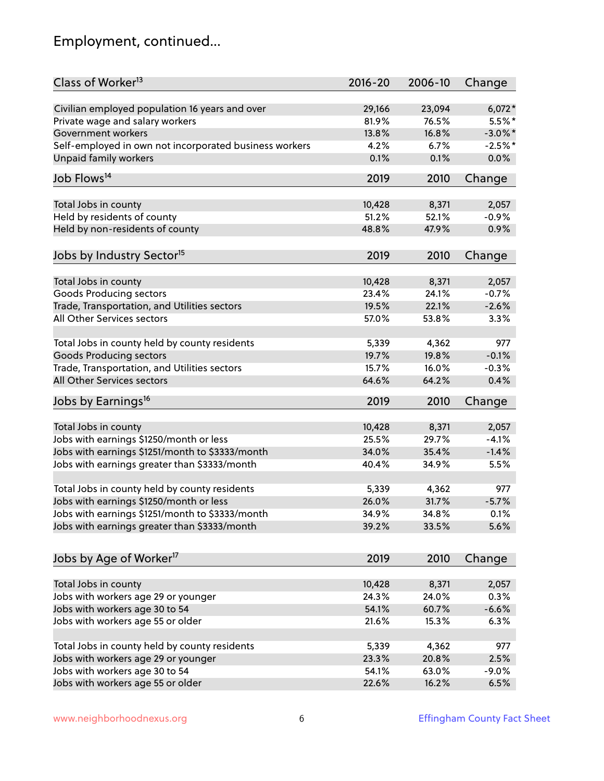# Employment, continued...

| Class of Worker <sup>13</sup>                          | $2016 - 20$ | 2006-10 | Change     |
|--------------------------------------------------------|-------------|---------|------------|
| Civilian employed population 16 years and over         | 29,166      | 23,094  | $6,072*$   |
| Private wage and salary workers                        | 81.9%       | 76.5%   | $5.5%$ *   |
| Government workers                                     | 13.8%       | 16.8%   | $-3.0\%$ * |
| Self-employed in own not incorporated business workers | 4.2%        | 6.7%    | $-2.5%$ *  |
| Unpaid family workers                                  | 0.1%        | 0.1%    | 0.0%       |
| Job Flows <sup>14</sup>                                | 2019        | 2010    | Change     |
|                                                        |             |         |            |
| Total Jobs in county                                   | 10,428      | 8,371   | 2,057      |
| Held by residents of county                            | 51.2%       | 52.1%   | $-0.9%$    |
| Held by non-residents of county                        | 48.8%       | 47.9%   | 0.9%       |
| Jobs by Industry Sector <sup>15</sup>                  | 2019        | 2010    | Change     |
| Total Jobs in county                                   | 10,428      | 8,371   | 2,057      |
| <b>Goods Producing sectors</b>                         | 23.4%       | 24.1%   | $-0.7%$    |
| Trade, Transportation, and Utilities sectors           | 19.5%       | 22.1%   | $-2.6%$    |
| All Other Services sectors                             | 57.0%       |         |            |
|                                                        |             | 53.8%   | 3.3%       |
| Total Jobs in county held by county residents          | 5,339       | 4,362   | 977        |
| <b>Goods Producing sectors</b>                         | 19.7%       | 19.8%   | $-0.1%$    |
| Trade, Transportation, and Utilities sectors           | 15.7%       | 16.0%   | $-0.3%$    |
| All Other Services sectors                             | 64.6%       | 64.2%   | 0.4%       |
| Jobs by Earnings <sup>16</sup>                         | 2019        | 2010    | Change     |
|                                                        |             |         |            |
| Total Jobs in county                                   | 10,428      | 8,371   | 2,057      |
| Jobs with earnings \$1250/month or less                | 25.5%       | 29.7%   | $-4.1%$    |
| Jobs with earnings \$1251/month to \$3333/month        | 34.0%       | 35.4%   | $-1.4%$    |
| Jobs with earnings greater than \$3333/month           | 40.4%       | 34.9%   | 5.5%       |
| Total Jobs in county held by county residents          | 5,339       | 4,362   | 977        |
| Jobs with earnings \$1250/month or less                | 26.0%       | 31.7%   | $-5.7%$    |
| Jobs with earnings \$1251/month to \$3333/month        | 34.9%       | 34.8%   | $0.1\%$    |
| Jobs with earnings greater than \$3333/month           | 39.2%       | 33.5%   | 5.6%       |
| Jobs by Age of Worker <sup>17</sup>                    | 2019        | 2010    | Change     |
|                                                        |             |         |            |
| Total Jobs in county                                   | 10,428      | 8,371   | 2,057      |
| Jobs with workers age 29 or younger                    | 24.3%       | 24.0%   | 0.3%       |
| Jobs with workers age 30 to 54                         | 54.1%       | 60.7%   | $-6.6%$    |
| Jobs with workers age 55 or older                      | 21.6%       | 15.3%   | 6.3%       |
|                                                        |             |         |            |
| Total Jobs in county held by county residents          | 5,339       | 4,362   | 977        |
| Jobs with workers age 29 or younger                    | 23.3%       | 20.8%   | 2.5%       |
| Jobs with workers age 30 to 54                         | 54.1%       | 63.0%   | $-9.0%$    |
| Jobs with workers age 55 or older                      | 22.6%       | 16.2%   | 6.5%       |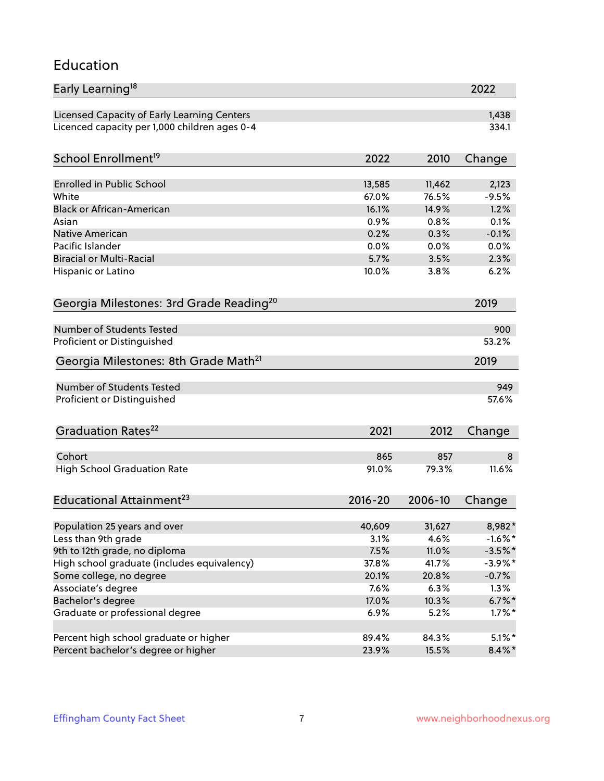#### Education

| Early Learning <sup>18</sup>                        |             |         | 2022       |
|-----------------------------------------------------|-------------|---------|------------|
| Licensed Capacity of Early Learning Centers         |             |         | 1,438      |
| Licenced capacity per 1,000 children ages 0-4       |             |         | 334.1      |
|                                                     |             |         |            |
| School Enrollment <sup>19</sup>                     | 2022        | 2010    | Change     |
| <b>Enrolled in Public School</b>                    | 13,585      | 11,462  | 2,123      |
| White                                               | 67.0%       | 76.5%   | $-9.5%$    |
| <b>Black or African-American</b>                    | 16.1%       | 14.9%   | 1.2%       |
| Asian                                               | 0.9%        | 0.8%    | 0.1%       |
| Native American                                     | 0.2%        | 0.3%    | $-0.1%$    |
| Pacific Islander                                    | 0.0%        | 0.0%    | 0.0%       |
| <b>Biracial or Multi-Racial</b>                     | 5.7%        | 3.5%    | 2.3%       |
| Hispanic or Latino                                  | 10.0%       | 3.8%    | 6.2%       |
|                                                     |             |         |            |
| Georgia Milestones: 3rd Grade Reading <sup>20</sup> |             |         | 2019       |
| <b>Number of Students Tested</b>                    |             |         | 900        |
| Proficient or Distinguished                         |             |         | 53.2%      |
| Georgia Milestones: 8th Grade Math <sup>21</sup>    |             |         | 2019       |
| Number of Students Tested                           |             |         | 949        |
| Proficient or Distinguished                         |             |         | 57.6%      |
|                                                     |             |         |            |
| Graduation Rates <sup>22</sup>                      | 2021        | 2012    | Change     |
|                                                     |             |         |            |
| Cohort                                              | 865         | 857     | 8          |
| <b>High School Graduation Rate</b>                  | 91.0%       | 79.3%   | 11.6%      |
| Educational Attainment <sup>23</sup>                | $2016 - 20$ | 2006-10 | Change     |
|                                                     | 40,609      | 31,627  | 8,982*     |
| Population 25 years and over<br>Less than 9th grade | 3.1%        | 4.6%    | $-1.6%$ *  |
| 9th to 12th grade, no diploma                       | 7.5%        | 11.0%   | $-3.5%$ *  |
| High school graduate (includes equivalency)         | 37.8%       | 41.7%   | $-3.9\%$ * |
| Some college, no degree                             | 20.1%       | 20.8%   | $-0.7%$    |
|                                                     |             |         |            |
| Associate's degree                                  | 7.6%        | 6.3%    | 1.3%       |
| Bachelor's degree                                   | 17.0%       | 10.3%   | $6.7\%$ *  |
| Graduate or professional degree                     | 6.9%        | 5.2%    | $1.7\%$ *  |
| Percent high school graduate or higher              | 89.4%       | 84.3%   | $5.1\%$ *  |
| Percent bachelor's degree or higher                 | 23.9%       | 15.5%   | $8.4\%$ *  |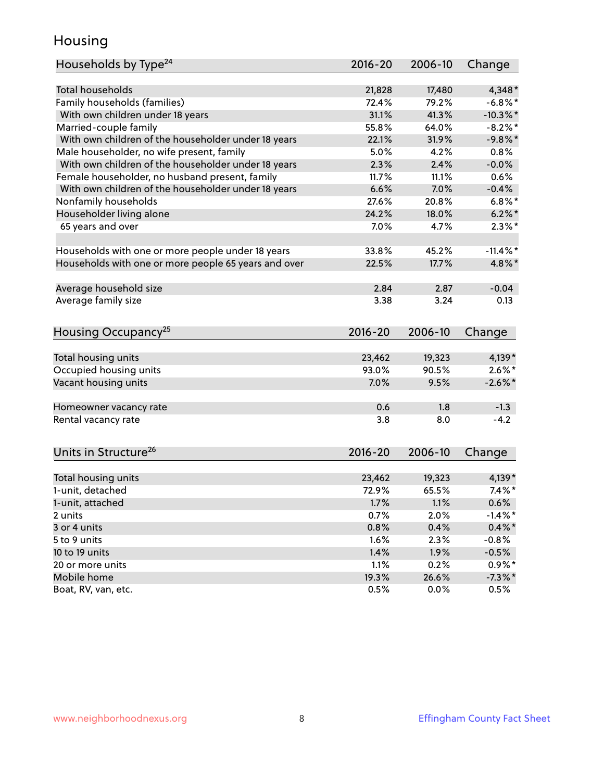#### Housing

| Households by Type <sup>24</sup>                     | 2016-20     | 2006-10 | Change      |
|------------------------------------------------------|-------------|---------|-------------|
|                                                      |             |         |             |
| Total households                                     | 21,828      | 17,480  | $4,348*$    |
| Family households (families)                         | 72.4%       | 79.2%   | $-6.8\%$ *  |
| With own children under 18 years                     | 31.1%       | 41.3%   | $-10.3\%$ * |
| Married-couple family                                | 55.8%       | 64.0%   | $-8.2%$     |
| With own children of the householder under 18 years  | 22.1%       | 31.9%   | $-9.8%$     |
| Male householder, no wife present, family            | 5.0%        | 4.2%    | 0.8%        |
| With own children of the householder under 18 years  | 2.3%        | 2.4%    | $-0.0%$     |
| Female householder, no husband present, family       | 11.7%       | 11.1%   | $0.6\%$     |
| With own children of the householder under 18 years  | 6.6%        | 7.0%    | $-0.4%$     |
| Nonfamily households                                 | 27.6%       | 20.8%   | $6.8\%$ *   |
| Householder living alone                             | 24.2%       | 18.0%   | $6.2\%$     |
| 65 years and over                                    | 7.0%        | 4.7%    | $2.3\%$ *   |
|                                                      |             |         |             |
| Households with one or more people under 18 years    | 33.8%       | 45.2%   | $-11.4%$    |
| Households with one or more people 65 years and over | 22.5%       | 17.7%   | 4.8%*       |
|                                                      |             |         |             |
| Average household size                               | 2.84        | 2.87    | $-0.04$     |
| Average family size                                  | 3.38        | 3.24    | 0.13        |
|                                                      |             |         |             |
| Housing Occupancy <sup>25</sup>                      | 2016-20     | 2006-10 | Change      |
|                                                      |             |         |             |
| Total housing units                                  | 23,462      | 19,323  | $4,139*$    |
| Occupied housing units                               | 93.0%       | 90.5%   | $2.6\%$ *   |
| Vacant housing units                                 | 7.0%        | 9.5%    | $-2.6\%$ *  |
|                                                      |             |         |             |
| Homeowner vacancy rate                               | 0.6         | 1.8     | $-1.3$      |
| Rental vacancy rate                                  | 3.8         | 8.0     | $-4.2$      |
|                                                      |             |         |             |
|                                                      |             |         |             |
| Units in Structure <sup>26</sup>                     | $2016 - 20$ | 2006-10 | Change      |
| Total housing units                                  | 23,462      | 19,323  | $4,139*$    |
| 1-unit, detached                                     | 72.9%       | 65.5%   | $7.4\%$ *   |
| 1-unit, attached                                     | 1.7%        | 1.1%    | 0.6%        |
| 2 units                                              | 0.7%        | 2.0%    | $-1.4\%$ *  |
| 3 or 4 units                                         | 0.8%        | 0.4%    | $0.4\% *$   |
| 5 to 9 units                                         |             |         |             |
|                                                      | 1.6%        | 2.3%    | $-0.8%$     |
| 10 to 19 units                                       | 1.4%        | 1.9%    | $-0.5%$     |
| 20 or more units                                     | 1.1%        | 0.2%    | $0.9\%$ *   |
| Mobile home                                          | 19.3%       | 26.6%   | $-7.3\%$ *  |
| Boat, RV, van, etc.                                  | 0.5%        | 0.0%    | 0.5%        |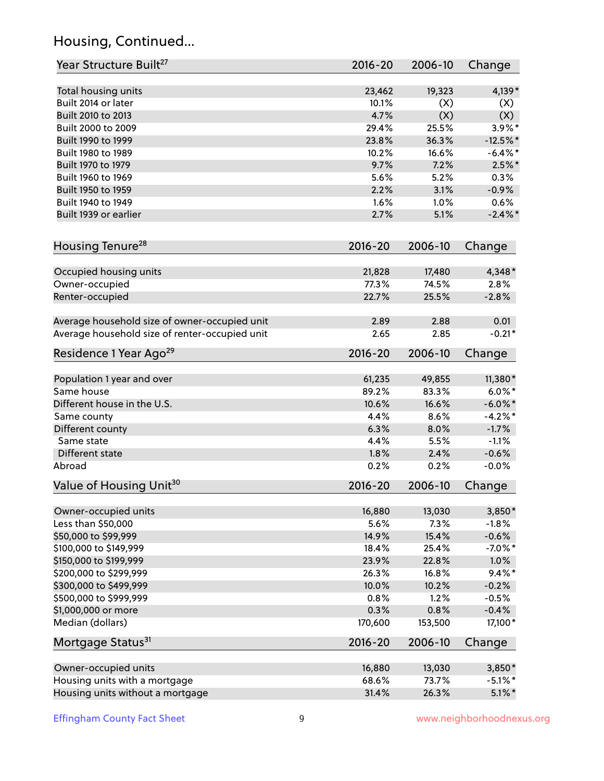# Housing, Continued...

| Year Structure Built <sup>27</sup>             | 2016-20     | 2006-10 | Change     |
|------------------------------------------------|-------------|---------|------------|
| Total housing units                            | 23,462      | 19,323  | 4,139*     |
| Built 2014 or later                            | 10.1%       | (X)     | (X)        |
| Built 2010 to 2013                             | 4.7%        | (X)     | (X)        |
| Built 2000 to 2009                             | 29.4%       | 25.5%   | 3.9%*      |
| Built 1990 to 1999                             | 23.8%       | 36.3%   | $-12.5%$   |
| Built 1980 to 1989                             | 10.2%       | 16.6%   | $-6.4\%$ * |
| Built 1970 to 1979                             | 9.7%        | 7.2%    | $2.5\%$ *  |
| Built 1960 to 1969                             | 5.6%        | 5.2%    | 0.3%       |
| Built 1950 to 1959                             | 2.2%        | 3.1%    | $-0.9%$    |
| Built 1940 to 1949                             | 1.6%        | 1.0%    | 0.6%       |
| Built 1939 or earlier                          | 2.7%        | 5.1%    | $-2.4\%$ * |
| Housing Tenure <sup>28</sup>                   | 2016-20     | 2006-10 | Change     |
|                                                |             |         |            |
| Occupied housing units                         | 21,828      | 17,480  | 4,348*     |
| Owner-occupied                                 | 77.3%       | 74.5%   | 2.8%       |
| Renter-occupied                                | 22.7%       | 25.5%   | $-2.8%$    |
| Average household size of owner-occupied unit  | 2.89        | 2.88    | 0.01       |
| Average household size of renter-occupied unit | 2.65        | 2.85    | $-0.21*$   |
| Residence 1 Year Ago <sup>29</sup>             | 2016-20     | 2006-10 | Change     |
|                                                |             |         |            |
| Population 1 year and over                     | 61,235      | 49,855  | 11,380*    |
| Same house                                     | 89.2%       | 83.3%   | $6.0\%$ *  |
| Different house in the U.S.                    | 10.6%       | 16.6%   | $-6.0\%$ * |
| Same county                                    | 4.4%        | 8.6%    | $-4.2%$ *  |
| Different county                               | 6.3%        | 8.0%    | $-1.7%$    |
| Same state                                     | 4.4%        | 5.5%    | $-1.1%$    |
| Different state                                | 1.8%        | 2.4%    | $-0.6%$    |
| Abroad                                         | 0.2%        | 0.2%    | $-0.0%$    |
| Value of Housing Unit <sup>30</sup>            | 2016-20     | 2006-10 | Change     |
| Owner-occupied units                           | 16,880      | 13,030  | 3,850*     |
| Less than \$50,000                             | 5.6%        | 7.3%    | $-1.8%$    |
| \$50,000 to \$99,999                           | 14.9%       | 15.4%   | $-0.6%$    |
| \$100,000 to \$149,999                         | 18.4%       | 25.4%   | $-7.0\%$ * |
| \$150,000 to \$199,999                         | 23.9%       | 22.8%   | 1.0%       |
| \$200,000 to \$299,999                         | 26.3%       | 16.8%   | $9.4\%$ *  |
| \$300,000 to \$499,999                         | 10.0%       | 10.2%   | $-0.2%$    |
| \$500,000 to \$999,999                         | 0.8%        | 1.2%    | $-0.5%$    |
| \$1,000,000 or more                            | 0.3%        | 0.8%    | $-0.4%$    |
| Median (dollars)                               | 170,600     | 153,500 | $17,100*$  |
| Mortgage Status <sup>31</sup>                  | $2016 - 20$ | 2006-10 | Change     |
|                                                |             |         |            |
| Owner-occupied units                           | 16,880      | 13,030  | 3,850*     |
| Housing units with a mortgage                  | 68.6%       | 73.7%   | $-5.1\%$ * |
| Housing units without a mortgage               | 31.4%       | 26.3%   | $5.1\%$ *  |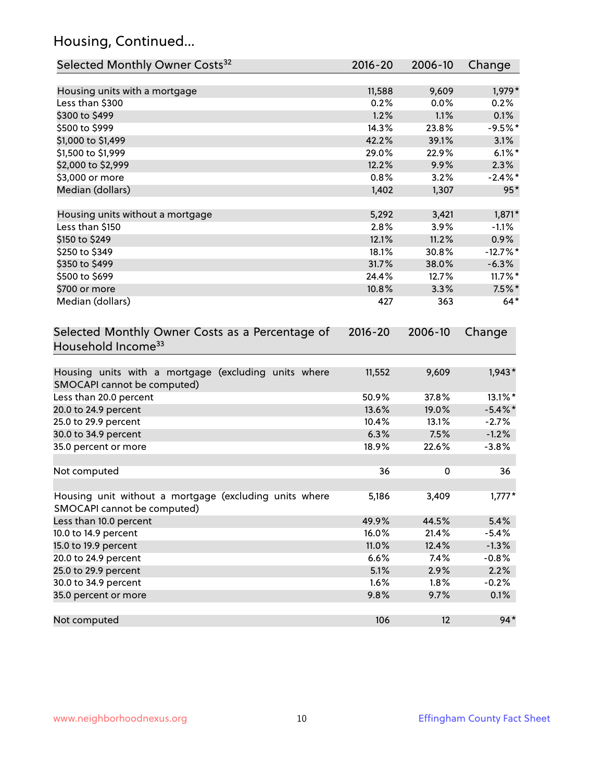# Housing, Continued...

| Selected Monthly Owner Costs <sup>32</sup>                                            | $2016 - 20$ | 2006-10 | Change     |
|---------------------------------------------------------------------------------------|-------------|---------|------------|
| Housing units with a mortgage                                                         | 11,588      | 9,609   | 1,979*     |
| Less than \$300                                                                       | 0.2%        | 0.0%    | 0.2%       |
| \$300 to \$499                                                                        | 1.2%        | 1.1%    | 0.1%       |
| \$500 to \$999                                                                        | 14.3%       | 23.8%   | $-9.5%$ *  |
| \$1,000 to \$1,499                                                                    | 42.2%       | 39.1%   | 3.1%       |
| \$1,500 to \$1,999                                                                    | 29.0%       | 22.9%   | $6.1\%$ *  |
| \$2,000 to \$2,999                                                                    | 12.2%       | 9.9%    | 2.3%       |
| \$3,000 or more                                                                       | 0.8%        | 3.2%    | $-2.4\%$ * |
| Median (dollars)                                                                      | 1,402       | 1,307   | $95*$      |
| Housing units without a mortgage                                                      | 5,292       | 3,421   | $1,871*$   |
| Less than \$150                                                                       | 2.8%        | 3.9%    | $-1.1%$    |
| \$150 to \$249                                                                        | 12.1%       | 11.2%   | 0.9%       |
| \$250 to \$349                                                                        | 18.1%       | 30.8%   | $-12.7%$ * |
| \$350 to \$499                                                                        | 31.7%       | 38.0%   | $-6.3%$    |
| \$500 to \$699                                                                        | 24.4%       | 12.7%   | $11.7\%$ * |
| \$700 or more                                                                         | 10.8%       | 3.3%    | $7.5\%$ *  |
| Median (dollars)                                                                      | 427         | 363     | $64*$      |
| Selected Monthly Owner Costs as a Percentage of<br>Household Income <sup>33</sup>     | $2016 - 20$ | 2006-10 | Change     |
| Housing units with a mortgage (excluding units where<br>SMOCAPI cannot be computed)   | 11,552      | 9,609   | $1,943*$   |
| Less than 20.0 percent                                                                | 50.9%       | 37.8%   | 13.1%*     |
| 20.0 to 24.9 percent                                                                  | 13.6%       | 19.0%   | $-5.4\%$ * |
| 25.0 to 29.9 percent                                                                  | 10.4%       | 13.1%   | $-2.7%$    |
| 30.0 to 34.9 percent                                                                  | 6.3%        | 7.5%    | $-1.2%$    |
| 35.0 percent or more                                                                  | 18.9%       | 22.6%   | $-3.8%$    |
| Not computed                                                                          | 36          | 0       | 36         |
| Housing unit without a mortgage (excluding units where<br>SMOCAPI cannot be computed) | 5,186       | 3,409   | $1,777*$   |
| Less than 10.0 percent                                                                | 49.9%       | 44.5%   | 5.4%       |
| 10.0 to 14.9 percent                                                                  | 16.0%       | 21.4%   | $-5.4%$    |
| 15.0 to 19.9 percent                                                                  | 11.0%       | 12.4%   | $-1.3%$    |
| 20.0 to 24.9 percent                                                                  | 6.6%        | 7.4%    | $-0.8%$    |
| 25.0 to 29.9 percent                                                                  | 5.1%        | 2.9%    | 2.2%       |
| 30.0 to 34.9 percent                                                                  | 1.6%        | 1.8%    | $-0.2%$    |
| 35.0 percent or more                                                                  | 9.8%        | 9.7%    | 0.1%       |
| Not computed                                                                          | 106         | 12      | $94*$      |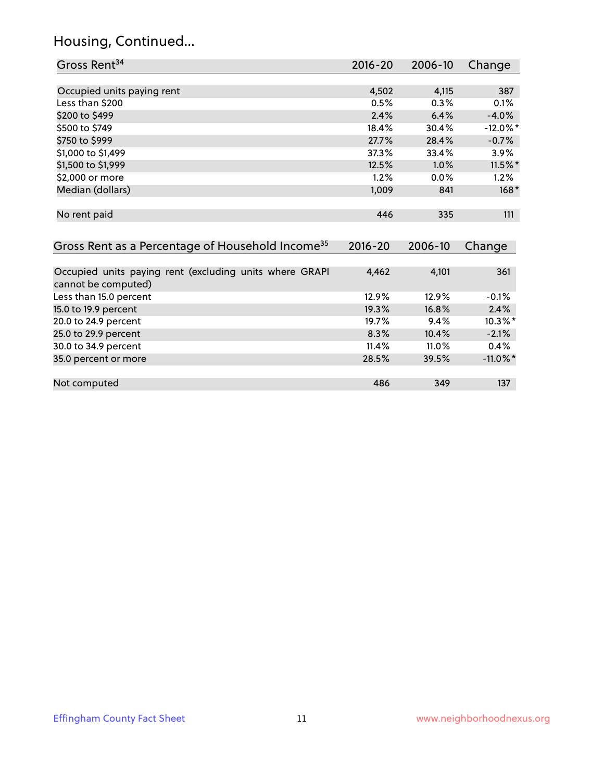# Housing, Continued...

| Gross Rent <sup>34</sup>                                                       | 2016-20     | 2006-10 | Change      |
|--------------------------------------------------------------------------------|-------------|---------|-------------|
|                                                                                |             |         |             |
| Occupied units paying rent                                                     | 4,502       | 4,115   | 387         |
| Less than \$200                                                                | 0.5%        | 0.3%    | 0.1%        |
| \$200 to \$499                                                                 | 2.4%        | 6.4%    | $-4.0%$     |
| \$500 to \$749                                                                 | 18.4%       | 30.4%   | $-12.0\%$ * |
| \$750 to \$999                                                                 | 27.7%       | 28.4%   | $-0.7%$     |
| \$1,000 to \$1,499                                                             | 37.3%       | 33.4%   | 3.9%        |
| \$1,500 to \$1,999                                                             | 12.5%       | 1.0%    | 11.5%*      |
| \$2,000 or more                                                                | 1.2%        | 0.0%    | 1.2%        |
| Median (dollars)                                                               | 1,009       | 841     | $168*$      |
| No rent paid                                                                   | 446         | 335     | 111         |
| Gross Rent as a Percentage of Household Income <sup>35</sup>                   | $2016 - 20$ | 2006-10 | Change      |
| Occupied units paying rent (excluding units where GRAPI<br>cannot be computed) | 4,462       | 4,101   | 361         |
| Less than 15.0 percent                                                         | 12.9%       | 12.9%   | $-0.1%$     |
| 15.0 to 19.9 percent                                                           | 19.3%       | 16.8%   | 2.4%        |
| 20.0 to 24.9 percent                                                           | 19.7%       | 9.4%    | $10.3\%$ *  |
| 25.0 to 29.9 percent                                                           | 8.3%        | 10.4%   | $-2.1%$     |
| 30.0 to 34.9 percent                                                           | 11.4%       | 11.0%   | 0.4%        |
| 35.0 percent or more                                                           | 28.5%       | 39.5%   | $-11.0\%$ * |
| Not computed                                                                   | 486         | 349     | 137         |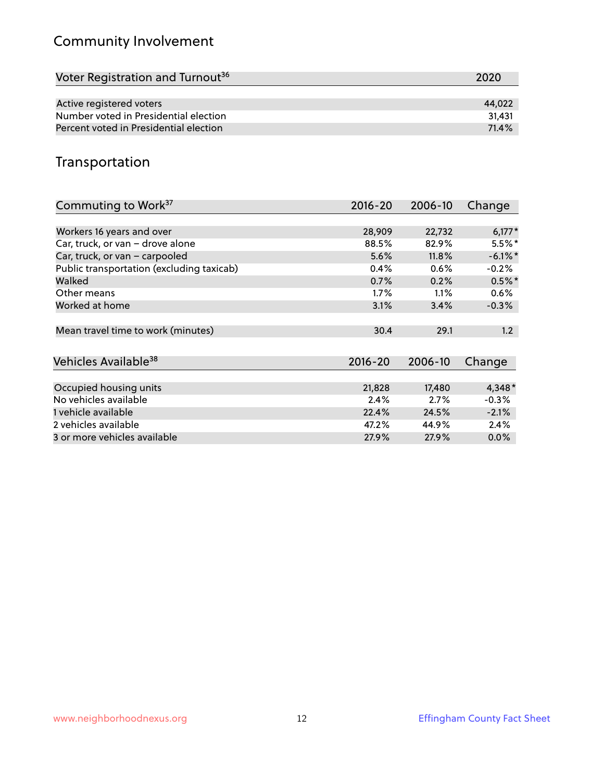# Community Involvement

| Voter Registration and Turnout <sup>36</sup> | 2020   |
|----------------------------------------------|--------|
|                                              |        |
| Active registered voters                     | 44.022 |
| Number voted in Presidential election        | 31.431 |
| Percent voted in Presidential election       | 71.4%  |

#### Transportation

| Commuting to Work <sup>37</sup>           | 2016-20     | 2006-10 | Change     |
|-------------------------------------------|-------------|---------|------------|
|                                           |             |         |            |
| Workers 16 years and over                 | 28,909      | 22,732  | $6,177*$   |
| Car, truck, or van - drove alone          | 88.5%       | 82.9%   | $5.5\%$ *  |
| Car, truck, or van - carpooled            | 5.6%        | 11.8%   | $-6.1\%$ * |
| Public transportation (excluding taxicab) | 0.4%        | 0.6%    | $-0.2%$    |
| Walked                                    | 0.7%        | 0.2%    | $0.5%$ *   |
| Other means                               | $1.7\%$     | $1.1\%$ | 0.6%       |
| Worked at home                            | 3.1%        | 3.4%    | $-0.3%$    |
|                                           |             |         |            |
| Mean travel time to work (minutes)        | 30.4        | 29.1    | 1.2        |
|                                           |             |         |            |
| Vehicles Available <sup>38</sup>          | $2016 - 20$ | 2006-10 | Change     |
|                                           |             |         |            |
| Occupied housing units                    | 21,828      | 17,480  | $4,348*$   |
| No vehicles available                     | 2.4%        | 2.7%    | $-0.3%$    |
| 1 vehicle available                       | 22.4%       | 24.5%   | $-2.1%$    |
| 2 vehicles available                      | 47.2%       | 44.9%   | 2.4%       |
| 3 or more vehicles available              | 27.9%       | 27.9%   | $0.0\%$    |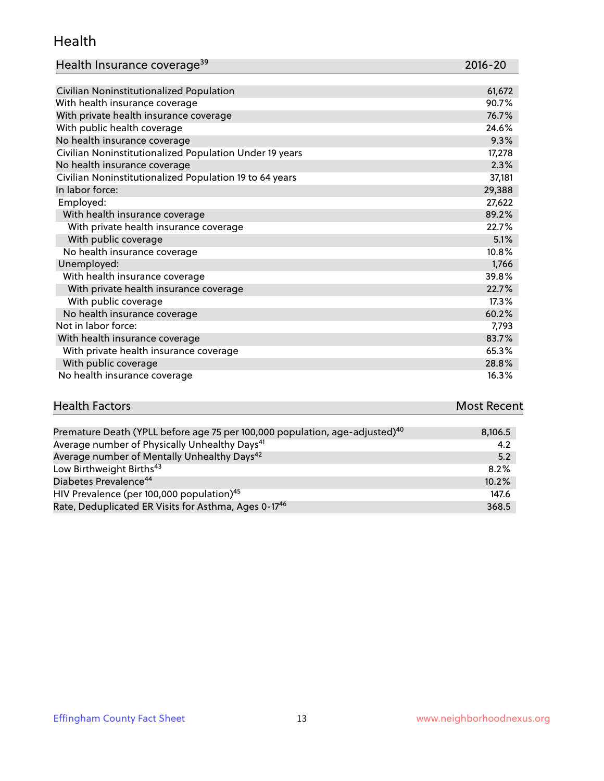#### Health

|  |  | Health Insurance coverage <sup>39</sup> |
|--|--|-----------------------------------------|
|--|--|-----------------------------------------|

| Health Insurance coverage <sup>39</sup>                 | $2016 - 20$ |
|---------------------------------------------------------|-------------|
|                                                         |             |
| Civilian Noninstitutionalized Population                | 61,672      |
| With health insurance coverage                          | 90.7%       |
| With private health insurance coverage                  | 76.7%       |
| With public health coverage                             | 24.6%       |
| No health insurance coverage                            | 9.3%        |
| Civilian Noninstitutionalized Population Under 19 years | 17,278      |
| No health insurance coverage                            | 2.3%        |
| Civilian Noninstitutionalized Population 19 to 64 years | 37,181      |
| In labor force:                                         | 29,388      |
| Employed:                                               | 27,622      |
| With health insurance coverage                          | 89.2%       |
| With private health insurance coverage                  | 22.7%       |
| With public coverage                                    | 5.1%        |
| No health insurance coverage                            | 10.8%       |
| Unemployed:                                             | 1,766       |
| With health insurance coverage                          | 39.8%       |
| With private health insurance coverage                  | 22.7%       |
| With public coverage                                    | 17.3%       |
| No health insurance coverage                            | 60.2%       |
| Not in labor force:                                     | 7,793       |
| With health insurance coverage                          | 83.7%       |
| With private health insurance coverage                  | 65.3%       |
|                                                         |             |

| <b>Health Factors</b> | <b>Most Recent</b> |
|-----------------------|--------------------|
|                       |                    |

With public coverage  $28.8\%$ No health insurance coverage 16.3%

| Premature Death (YPLL before age 75 per 100,000 population, age-adjusted) <sup>40</sup> | 8,106.5 |
|-----------------------------------------------------------------------------------------|---------|
| Average number of Physically Unhealthy Days <sup>41</sup>                               | 4.2     |
| Average number of Mentally Unhealthy Days <sup>42</sup>                                 | 5.2     |
| Low Birthweight Births <sup>43</sup>                                                    | 8.2%    |
| Diabetes Prevalence <sup>44</sup>                                                       | 10.2%   |
| HIV Prevalence (per 100,000 population) <sup>45</sup>                                   | 147.6   |
| Rate, Deduplicated ER Visits for Asthma, Ages 0-1746                                    | 368.5   |